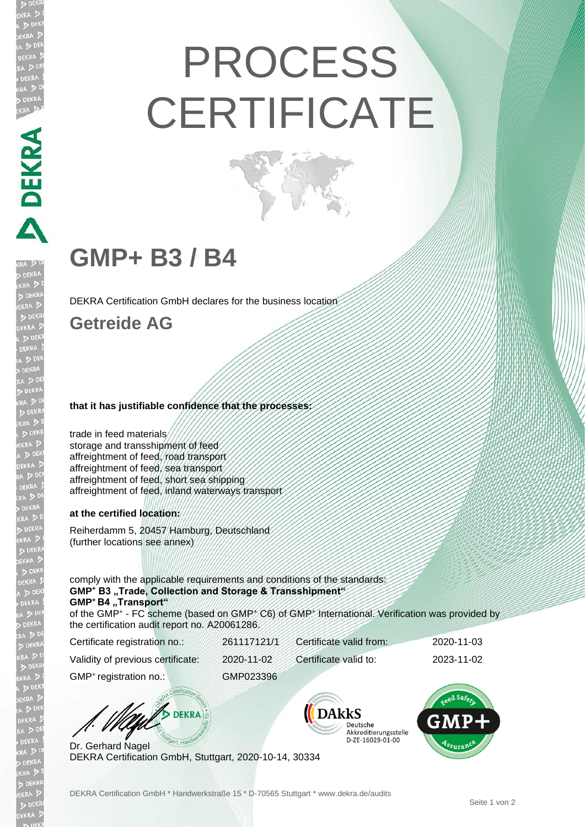# PROCESS **CERTIFICATE**

# **GMP+ B3 / B4**

DEKRA Certification GmbH declares for the business location

### **Getreide AG**

DEKRA PARA

#### **that it has justifiable confidence that the processes:**

trade in feed materials storage and transshipment of feed affreightment of feed, road transport affreightment of feed, sea transport affreightment of feed, short sea shipping affreightment of feed, inland waterways transport

#### **at the certified location:**

Reiherdamm 5, 20457 Hamburg, Deutschland (further locations see annex)

comply with the applicable requirements and conditions of the standards: **GMP<sup>+</sup> B3 "Trade, Collection and Storage & Transshipment" GMP<sup>+</sup>B4 "Transport"** 

of the GMP<sup>+</sup> - FC scheme (based on GMP<sup>+</sup> C6) of GMP<sup>+</sup> International. Verification was provided by the certification audit report no. A20061286.

| Certificate registration no.:      | 261117121/1 | Certificate valid from: | 2020-11-03 |
|------------------------------------|-------------|-------------------------|------------|
| Validity of previous certificate:  | 2020-11-02  | Certificate valid to:   | 2023-11-02 |
| GMP <sup>+</sup> registration no.: | GMP023396   |                         |            |

**DEKRA** 

Dr. Gerhard Nagel DEKRA Certification GmbH, Stuttgart, 2020-10-14, 30334